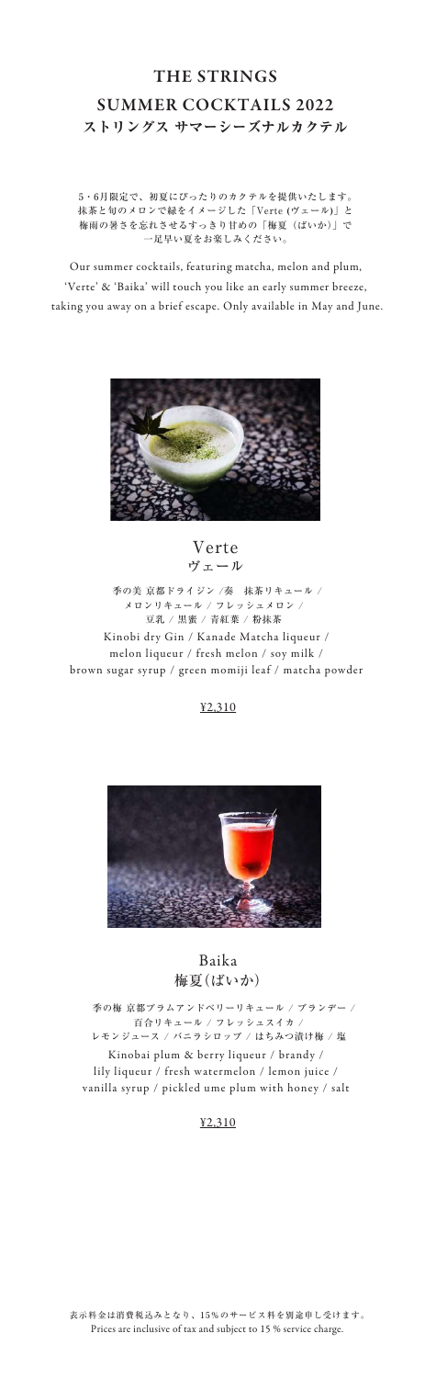### ストリングス サマーシーズナルカクテル THE STRINGS SUMMER COCKTAILS 2022

 季の美 京都ドライジン /奏 抹茶リキュール / メロンリキュール / フレッシュメロン / 豆乳 / 黒蜜 / 青紅葉 / 粉抹茶 Kinobi dry Gin / Kanade Matcha liqueur / melon liqueur / fresh melon / soy milk / brown sugar syrup / green momiji leaf / matcha powder

¥2,310



5・6月限定で、初夏にぴったりのカクテルを提供いたします。 抹茶と旬のメロンで緑をイメージした「Verte (ヴェール)」と 梅雨の暑さを忘れさせるすっきり甘めの「梅夏(ばいか)」で 一足早い夏をお楽しみください。

Our summer cocktails, featuring matcha, melon and plum, 'Verte' & 'Baika' will touch you like an early summer breeze, taking you away on a brief escape. Only available in May and June.



Verte ヴェール

 季の梅 京都プラムアンドベリーリキュール / ブランデー / 百合リキュール / フレッシュスイカ / レモンジュース / バニラシロップ / はちみつ漬け梅 / 塩 Kinobai plum & berry liqueur / brandy /

lily liqueur / fresh watermelon / lemon juice / vanilla syrup / pickled ume plum with honey / salt

#### ¥2,310

#### Baika 梅夏(ばいか)

表示料金は消費税込みとなり、15%のサービス料を別途申し受けます。 Prices are inclusive of tax and subject to 15 % service charge.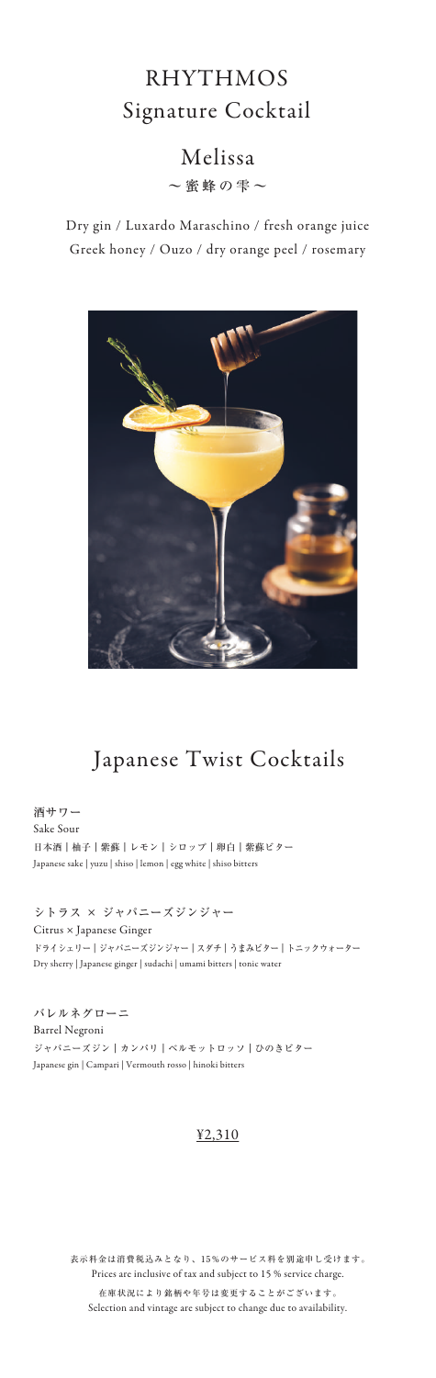Citrus × Japanese Ginger シトラス × ジャパニーズジンジャー

Dry sherry | Japanese ginger | sudachi | umami bitters | tonic water ドライシェリー|ジャパニーズジンジャー|スダチ|うまみビター|トニックウォーター

Japanese gin | Campari | Vermouth rosso | hinoki bitters

Barrel Negroni バレルネグローニ ジャパニーズジン|カンパリ|ベルモットロッソ|ひのきビター

Dry gin / Luxardo Maraschino / fresh orange juice Greek honey / Ouzo / dry orange peel / rosemary



## ~蜜蜂の雫~ Melissa

# RHYTHMOS Signature Cocktail

#### ¥2,310

表示料金は消費税込みとなり、15%のサービス料を別途申し受けます。 Prices are inclusive of tax and subject to 15 % service charge.

在庫状況により銘柄や年号は変更することがございます。 Selection and vintage are subject to change due to availability.

# Japanese Twist Cocktails

Sake Sour 酒サワー Japanese sake | yuzu | shiso | lemon | egg white | shiso bitters 日本酒 | 柚子 | 紫蘇 | レモン | シロップ | 卵白 | 紫蘇ビター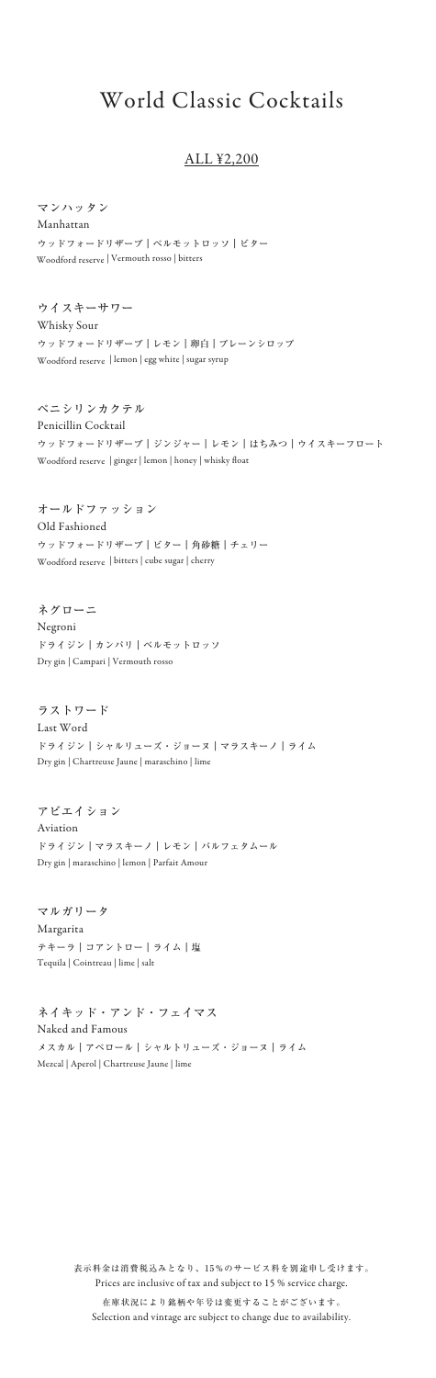## World Classic Cocktails

Manhattan マンハッタン Woodford reserve | Vermouth rosso | bitters ウッドフォードリザーブ|ベルモットロッソ|ビター

Whisky Sour ウイスキーサワー Woodford reserve | lemon | egg white | sugar syrup ウッドフォードリザーブ|レモン|卵白|プレーンシロップ

#### ALL ¥2,200

Penicillin Cocktail ペニシリンカクテル Woodford reserve | ginger | lemon | honey | whisky float ウッドフォードリザーブ|ジンジャー|レモン|はちみつ|ウイスキーフロート

Old Fashioned オールドファッション Woodford reserve | bitters | cube sugar | cherry ウッドフォードリザーブ|ビター|角砂糖|チェリー

Negroni ネグローニ Dry gin | Campari | Vermouth rosso ドライジン|カンパリ|ベルモットロッソ

Last Word ラストワード Dry gin | Chartreuse Jaune | maraschino | lime ドライジン|シャルリューズ・ジョーヌ|マラスキーノ|ライム

Aviation アビエイション Dry gin | maraschino | lemon | Parfait Amour ドライジン|マラスキーノ|レモン|パルフェタムール

Naked and Famous ネイキッド・アンド・フェイマス メスカル|アペロール|シャルトリューズ・ジョーヌ|ライム

Mezcal | Aperol | Chartreuse Jaune | lime

Margarita マルガリータ Tequila | Cointreau | lime | salt テキーラ|コアントロー|ライム|塩

> 表示料金は消費税込みとなり、15%のサービス料を別途申し受けます。 Prices are inclusive of tax and subject to 15 % service charge.

在庫状況により銘柄や年号は変更することがございます。 Selection and vintage are subject to change due to availability.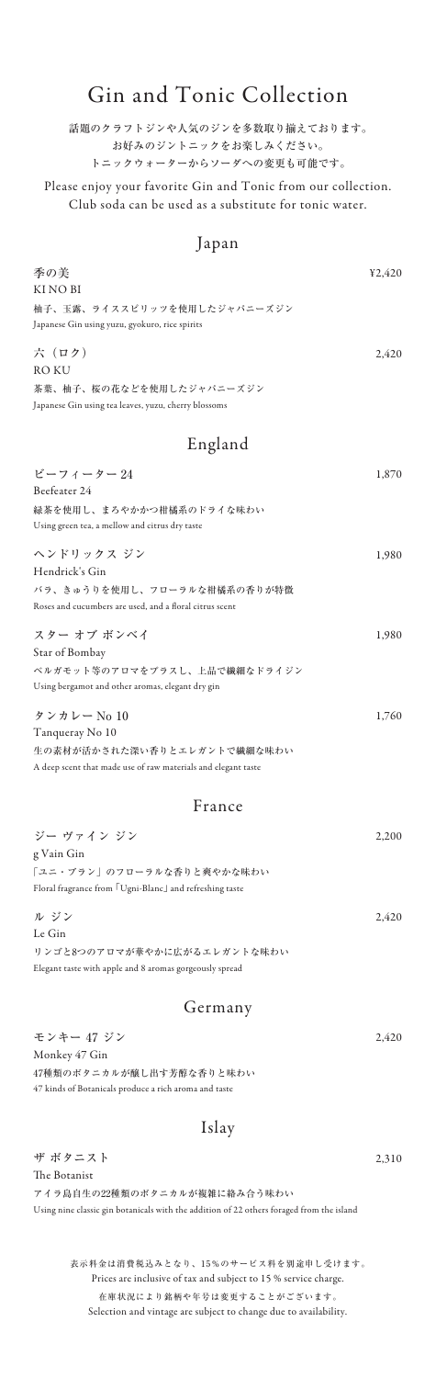## Gin and Tonic Collection

話題のクラフトジンや人気のジンを多数取り揃えております。 お好みのジントニックをお楽しみください。 トニックウォーターからソーダへの変更も可能です。

Please enjoy your favorite Gin and Tonic from our collection. Club soda can be used as a substitute for tonic water.

#### Japan

#### France

#### Germany

#### Islay

| 季の美                                                           | 42,420 |
|---------------------------------------------------------------|--------|
| KI NO BI                                                      |        |
| 柚子、玉露、ライススピリッツを使用したジャパニーズジン                                   |        |
| Japanese Gin using yuzu, gyokuro, rice spirits                |        |
| 六 (ロク)                                                        | 2,420  |
| RO KU                                                         |        |
| 茶葉、柚子、桜の花などを使用したジャパニーズジン                                      |        |
| Japanese Gin using tea leaves, yuzu, cherry blossoms          |        |
|                                                               |        |
| England                                                       |        |
| ビーフィーター 24                                                    | 1,870  |
| Beefeater 24                                                  |        |
| 緑茶を使用し、まろやかかつ柑橘系のドライな味わい                                      |        |
| Using green tea, a mellow and citrus dry taste                |        |
| ヘンドリックス ジン                                                    | 1,980  |
| Hendrick's Gin                                                |        |
| バラ、きゅうりを使用し、フローラルな柑橘系の香りが特徴                                   |        |
| Roses and cucumbers are used, and a floral citrus scent       |        |
| スター オブ ボンベイ                                                   | 1,980  |
| Star of Bombay                                                |        |
| ベルガモット等のアロマをプラスし、上品で繊細なドライジン                                  |        |
| Using bergamot and other aromas, elegant dry gin              |        |
| タンカレー No 10                                                   | 1,760  |
| Tanqueray No 10                                               |        |
| 生の素材が活かされた深い香りとエレガントで繊細な味わい                                   |        |
| A deep scent that made use of raw materials and elegant taste |        |
|                                                               |        |

| ジー ヴァイン ジン                                                                                                      | 2.200 |
|-----------------------------------------------------------------------------------------------------------------|-------|
| g Vain Gin                                                                                                      |       |
| 「ユニ・ブラン」のフローラルな香りと爽やかな味わい                                                                                       |       |
| Floral fragrance from [Ugni-Blanc] and refreshing taste                                                         |       |
| ル ジン                                                                                                            | 2.420 |
| Le Gin                                                                                                          |       |
| in the second contract in the contract of the contract of the contract of the contract of the contract of the c |       |

Elegant taste with apple and 8 aromas gorgeously spread リンゴと8つのアロマが華やかに広がるエレガントな味わい

Monkey 47 Gin モンキー 47 ジン

47 kinds of Botanicals produce a rich aroma and taste

47種類のボタニカルが醸し出す芳醇な香りと味わい

2,420

ザ ボタニスト

Using nine classic gin botanicals with the addition of 22 others foraged from the island

アイラ島自生の22種類のボタニカルが複雑に絡み合う味わい

2,310

The Botanist

表示料金は消費税込みとなり、15%のサービス料を別途申し受けます。 Prices are inclusive of tax and subject to 15 % service charge. 在庫状況により銘柄や年号は変更することがございます。

Selection and vintage are subject to change due to availability.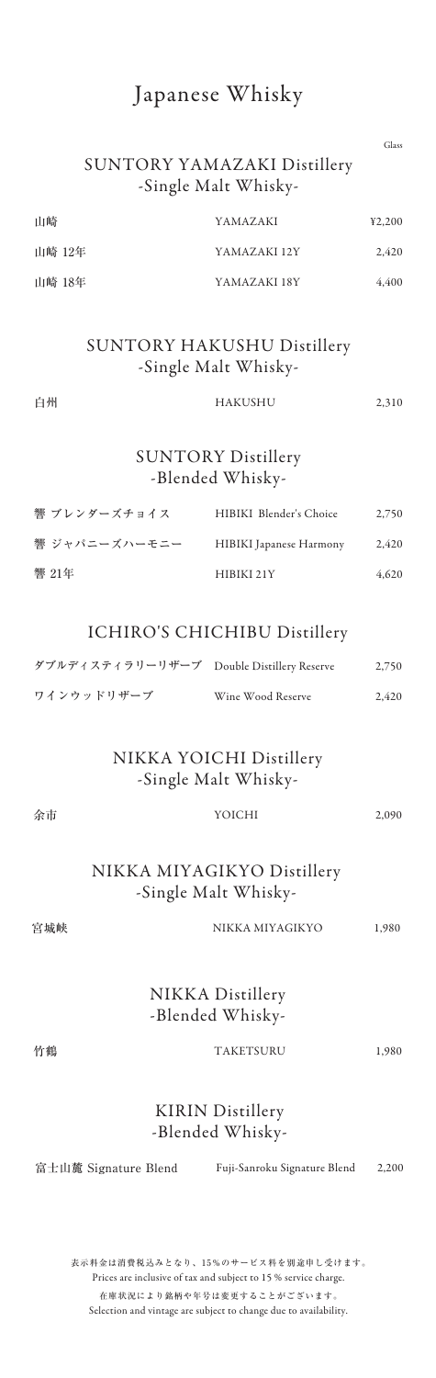### Japanese Whisky

Glass

| 山崎     | YAMAZAKI     | ¥2,200 |
|--------|--------------|--------|
| 山崎 12年 | YAMAZAKI 12Y | 2.420  |
| 山崎 18年 | YAMAZAKI 18Y | 4.400  |

| 白州 | HAKUSHU | 2,310 |
|----|---------|-------|
|    |         |       |

| ダブルディスティラリーリザーブ Double Distillery Reserve |                   | 2,750 |
|-------------------------------------------|-------------------|-------|
| ワインウッドリザーブ                                | Wine Wood Reserve | 2.420 |

| 響 ブレンダーズチョイス  | HIBIKI Blender's Choice        | 2.750 |
|---------------|--------------------------------|-------|
| 響 ジャパニーズハーモニー | <b>HIBIKI</b> Japanese Harmony | 2,420 |
| 響 21年         | HIBIKI 21Y                     | 4.620 |

#### ICHIRO'S CHICHIBU Distillery

表示料金は消費税込みとなり、15%のサービス料を別途申し受けます。 Prices are inclusive of tax and subject to 15 % service charge.

| 余市  | YOICHI                                             | 2,090 |
|-----|----------------------------------------------------|-------|
|     | NIKKA MIYAGIKYO Distillery<br>-Single Malt Whisky- |       |
| 宮城峡 | NIKKA MIYAGIKYO                                    | 1,980 |
|     |                                                    |       |

在庫状況により銘柄や年号は変更することがございます。 Selection and vintage are subject to change due to availability.

### SUNTORY HAKUSHU Distillery -Single Malt Whisky-

### SUNTORY Distillery -Blended Whisky-

### NIKKA YOICHI Distillery -Single Malt Whisky-

NIKKA Distillery -Blended Whisky-

竹鶴 TAKETSURU 1,980

富士山麓 Signature Blend Fuji-Sanroku Signature Blend 2,200

### KIRIN Distillery -Blended Whisky-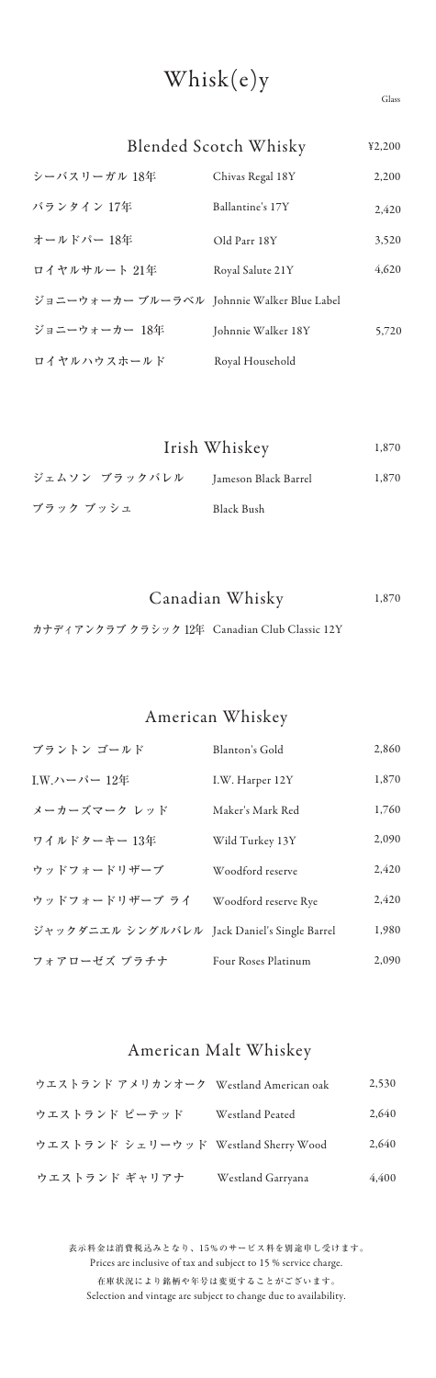# Whisk(e)y

#### Blended Scotch Whisky ¥2,200

Glass

### American Whiskey

|               | Irish Whiskey        | 1,870 |
|---------------|----------------------|-------|
| ジェムソン ブラックバレル | Jameson Black Barrel | 1,870 |
| ブラック ブッシュ     | Black Bush           |       |

| ブラントン ゴールド                                   | Blanton's Gold       | 2,860 |
|----------------------------------------------|----------------------|-------|
| I.W.ハーパー 12年                                 | I.W. Harper 12Y      | 1,870 |
| メーカーズマーク レッド                                 | Maker's Mark Red     | 1,760 |
| ワイルドターキー 13年                                 | Wild Turkey 13Y      | 2,090 |
| ウッドフォードリザーブ                                  | Woodford reserve     | 2,420 |
| ウッドフォードリザーブ ライ                               | Woodford reserve Rye | 2,420 |
| ジャックダニエル シングルバレル Jack Daniel's Single Barrel |                      | 1,980 |
| フォアローゼズ プラチナ                                 | Four Roses Platinum  | 2.090 |

| シーバスリーガル 18年                               | Chivas Regal 18Y   | 2,200 |
|--------------------------------------------|--------------------|-------|
| バランタイン 17年                                 | Ballantine's 17Y   | 2.420 |
| オールドパー 18年                                 | Old Parr 18Y       | 3,520 |
| ロイヤルサルート 21年                               | Royal Salute 21Y   | 4.620 |
| ジョニーウォーカー ブルーラベル Johnnie Walker Blue Label |                    |       |
| ジョニーウォーカー 18年                              | Johnnie Walker 18Y | 5.720 |
| ロイヤルハウスホールド                                | Royal Household    |       |

#### Canadian Whisky 1,870

カナディアンクラブ クラシック 12年 Canadian Club Classic 12Y

表示料金は消費税込みとなり、15%のサービス料を別途申し受けます。 Prices are inclusive of tax and subject to 15 % service charge.

在庫状況により銘柄や年号は変更することがございます。 Selection and vintage are subject to change due to availability.

### American Malt Whiskey

ウエストランド アメリカンオーク ウエストランド ピーテッド ウエストランド シェリーウッド Westland American oak Westland Peated Westland Sherry Wood 2,530 2,640 ウエストランド ギャリアナ Westland Garryana 4,400 2,640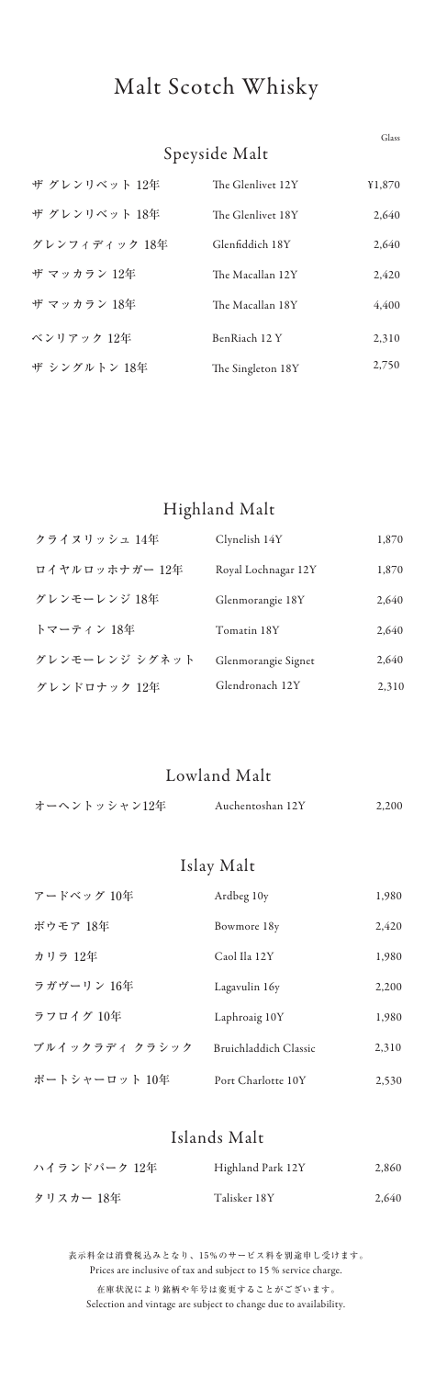## Malt Scotch Whisky

### Speyside Malt

Glass

### Highland Malt

ハイランドパーク 12年 Highland Park 12Y 2,860 タリスカー 18年 Talisker 18Y 2,640

#### Lowland Malt

|  | オーヘントッシャン12年 | Auchentoshan 12Y | 2,200 |
|--|--------------|------------------|-------|
|--|--------------|------------------|-------|

### Islay Malt

#### Islands Malt

| クライヌリッシュ 14年   | Clynelish 14Y       | 1,870 |
|----------------|---------------------|-------|
| ロイヤルロッホナガー 12年 | Royal Lochnagar 12Y | 1,870 |
| グレンモーレンジ 18年   | Glenmorangie 18Y    | 2,640 |
| トマーティン 18年     | Tomatin 18Y         | 2,640 |
| グレンモーレンジ シグネット | Glenmorangie Signet | 2,640 |
| グレンドロナック 12年   | Glendronach 12Y     | 2,310 |

| ザ グレンリベット 12年 | The Glenlivet 12Y | ¥1,870 |
|---------------|-------------------|--------|
| ザ グレンリベット 18年 | The Glenlivet 18Y | 2.640  |
| グレンフィディック 18年 | Glenfiddich 18Y   | 2,640  |
| ザ マッカラン 12年   | The Macallan 12Y  | 2,420  |
| ザ マッカラン 18年   | The Macallan 18Y  | 4,400  |
| ベンリアック 12年    | BenRiach 12 Y     | 2,310  |
| ザ シングルトン 18年  | The Singleton 18Y | 2,750  |

| アードベッグ 10年     | Ardbeg 10y            | 1,980 |
|----------------|-----------------------|-------|
| ボウモア 18年       | Bowmore 18y           | 2,420 |
| カリラ 12年        | Caol Ila 12Y          | 1.980 |
| ラガヴーリン 16年     | Lagavulin 16y         | 2,200 |
| ラフロイグ 10年      | Laphroaig 10Y         | 1,980 |
| ブルイックラディ クラシック | Bruichladdich Classic | 2.310 |

表示料金は消費税込みとなり、15%のサービス料を別途申し受けます。 Prices are inclusive of tax and subject to 15 % service charge.

在庫状況により銘柄や年号は変更することがございます。 Selection and vintage are subject to change due to availability.

ポートシャーロット 10年 Port Charlotte 10Y 2,530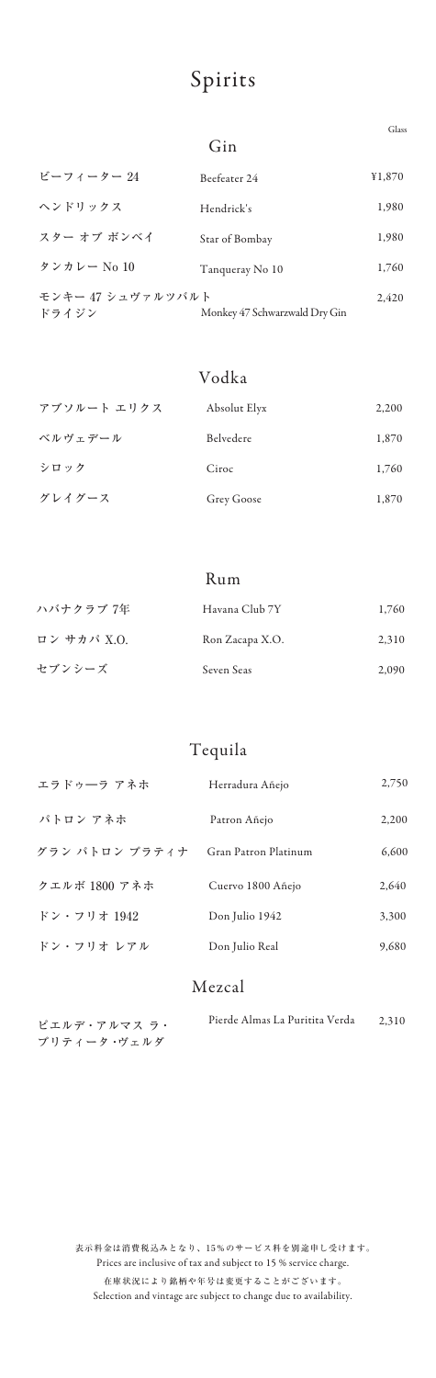# Spirits

### Gin

Glass

### Vodka

| ビーフィーター 24                 | Beefeater 24                  | ¥1,870 |
|----------------------------|-------------------------------|--------|
| ヘンドリックス                    | Hendrick's                    | 1,980  |
| スター オブ ボンベイ                | Star of Bombay                | 1,980  |
| タンカレー No 10                | Tanqueray No 10               | 1,760  |
| モンキー 47 シュヴァルツバルト<br>ドライジン | Monkey 47 Schwarzwald Dry Gin | 2.420  |

#### Rum

| アブソルート エリクス | Absolut Elyx | 2,200 |
|-------------|--------------|-------|
| ベルヴェデール     | Belvedere    | 1,870 |
| シロック        | Ciroc        | 1,760 |
| グレイグース      | Grey Goose   | 1,870 |

| ハバナクラブ 7年 | Havana Club 7Y  | 1,760 |
|-----------|-----------------|-------|
| ロン サカパ XO | Ron Zacapa X.O. | 2.310 |
| セブンシーズ    | Seven Seas      | 2.090 |

### Tequila

表示料金は消費税込みとなり、15%のサービス料を別途申し受けます。 Prices are inclusive of tax and subject to 15 % service charge. 在庫状況により銘柄や年号は変更することがございます。 Selection and vintage are subject to change due to availability.

### Mezcal

| ピエルデ・アルマス ラ・ | Pierde Almas La Puritita Verda | 2,310 |
|--------------|--------------------------------|-------|
| プリティータ・ヴェルダ  |                                |       |

| エラドゥ―ラ アネホ     | Herradura Añejo      | 2.750 |
|----------------|----------------------|-------|
| パトロン アネホ       | Patron Añejo         | 2.200 |
| グラン パトロン プラティナ | Gran Patron Platinum | 6,600 |
| クエルボ 1800 アネホ  | Cuervo 1800 Añejo    | 2,640 |
| ドン・フリオ 1942    | Don Julio 1942       | 3,300 |
| ドン・フリオ レアル     | Don Julio Real       | 9,680 |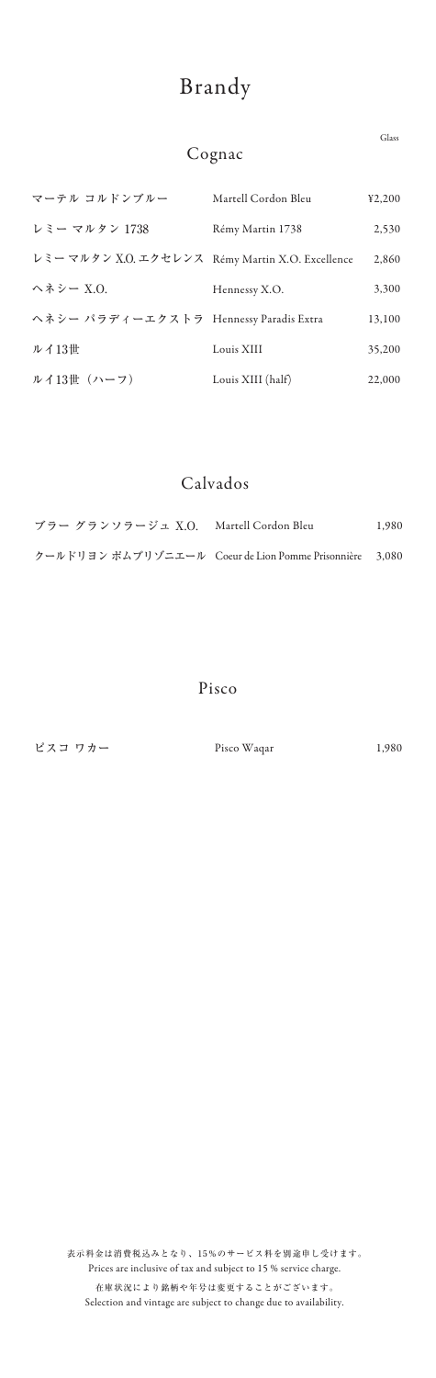在庫状況により銘柄や年号は変更することがございます。 Selection and vintage are subject to change due to availability.

## Brandy

### Cognac

Glass

### Calvados

1,980

| ブラー グランソラージュ X.O. Martell Cordon Bleu                   | 1.980 |
|---------------------------------------------------------|-------|
| クールドリヨン ポムプリゾニエール Coeur de Lion Pomme Prisonnière 3,080 |       |

ピスコ ワカー

| マーテル コルドンブルー                                     | Martell Cordon Bleu | ¥2,200 |
|--------------------------------------------------|---------------------|--------|
| レミー マルタン 1738                                    | Rémy Martin 1738    | 2,530  |
| レミー マルタン X.O. エクセレンス Rémy Martin X.O. Excellence |                     | 2,860  |
| ヘネシー X.O.                                        | Hennessy X.O.       | 3,300  |
| ヘネシー パラディーエクストラ Hennessy Paradis Extra           |                     | 13,100 |
| ルイ13世                                            | Louis XIII          | 35,200 |
| ルイ13世 (ハーフ)                                      | Louis XIII (half)   | 22,000 |

Pisco Waqar

### Pisco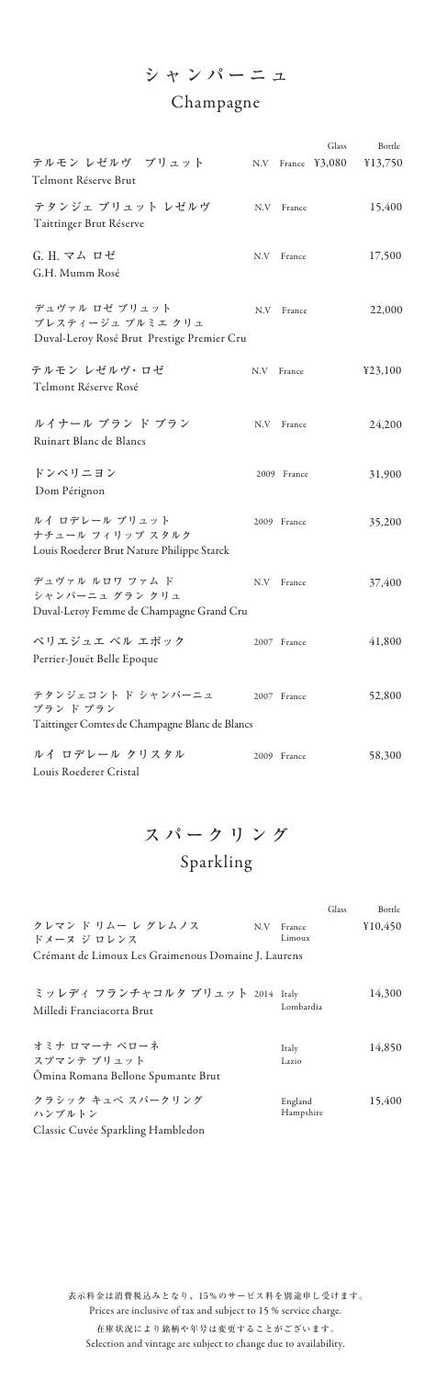在庫状況により銘柄や年号は変更することがございます。 Selection and vintage are subject to change due to availability.

### シャンパーニュ

### Champagne

|                                                                                   |     |             | Glass             | Bottle  |
|-----------------------------------------------------------------------------------|-----|-------------|-------------------|---------|
| テルモン レゼルヴ ブリュット<br>Telmont Réserve Brut                                           |     |             | N.V France ¥3,080 | ¥13,750 |
| テタンジェ ブリュット レゼルヴ<br>Taittinger Brut Réserve                                       |     | N.V France  |                   | 15,400  |
| G. H. マム ロゼ<br>G.H. Mumm Rosé                                                     | N.V | France      |                   | 17,500  |
| デュヴァル ロゼ ブリュット<br>プレスティージュ プルミエ クリュ<br>Duval-Leroy Rosé Brut Prestige Premier Cru |     | N.V France  |                   | 22,000  |
| テルモン レゼルヴ・ロゼ<br>Telmont Réserve Rosé                                              | N.V | France      |                   | 423,100 |
| ルイナール ブラン ド ブラン<br>Ruinart Blanc de Blancs                                        |     | N.V France  |                   | 24,200  |
| ドンペリニヨン<br>Dom Pérignon                                                           |     | 2009 France |                   | 31,900  |
| ルイ ロデレール ブリュット<br>ナチュール フィリップ スタルク<br>Louis Roederer Brut Nature Philippe Starck  |     | 2009 France |                   | 35,200  |
| デュヴァル ルロワ ファムド<br>シャンパーニュ グラン クリュ<br>Duval-Leroy Femme de Champagne Grand Cru     | N.V | France      |                   | 37,400  |
| ペリエジュエ ベル エポック<br>Perrier-Jouët Belle Epoque                                      |     | 2007 France |                   | 41,800  |
| テタンジェコント ド シャンパーニュ<br>ブランドブラン<br>Taittinger Comtes de Champagne Blanc de Blancs   |     | 2007 France |                   | 52,800  |
| ルイ ロデレール クリスタル<br>Louis Roederer Cristal                                          |     | 2009 France |                   | 58,300  |

# スパークリング

### Sparkling

Ômina Romana Bellone Spumante Brut

| オミナ ロマーナ ベローネ | Italy | 14,850 |
|---------------|-------|--------|
| スプマンテ ブリュット   | Lazio |        |

|                                                     |     |        | Glass | Bottle  |
|-----------------------------------------------------|-----|--------|-------|---------|
| クレマン ド リムー レ グレムノス                                  | N V | France |       | ¥10,450 |
| ドメーヌ ジ ロレンス                                         |     | Limoux |       |         |
| Crémant de Limoux Les Graimenous Domaine J. Laurens |     |        |       |         |

Classic Cuvée Sparkling Hambledon クラシック キュべ スパークリング ハンブルトン

England 15,400 Hampshire

| ミッレディ フランチャコルタ ブリュット 2014 Italy |  |           | 14,300 |
|---------------------------------|--|-----------|--------|
| Milledi Franciacorta Brut       |  | Lombardia |        |
|                                 |  |           |        |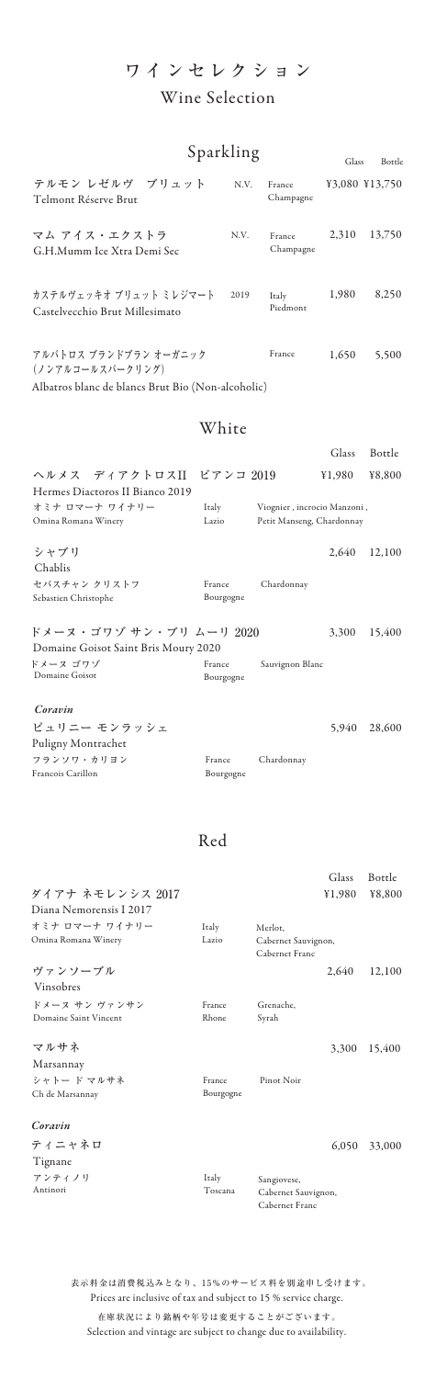在庫状況により銘柄や年号は変更することがございます。 Selection and vintage are subject to change due to availability.

### ワインセレクション

### Wine Selection

|                                                                    | Sparkling           |      |                                                          | Glass           | Bottle           |
|--------------------------------------------------------------------|---------------------|------|----------------------------------------------------------|-----------------|------------------|
| テルモン レゼルヴ ブリュット<br>Telmont Réserve Brut                            |                     | N.V. | France<br>Champagne                                      |                 | ¥3,080 ¥13,750   |
| マム アイス・エクストラ<br>G.H.Mumm Ice Xtra Demi Sec                         |                     | N.V. | France<br>Champagne                                      | 2,310           | 13,750           |
| カステルヴェッキオ ブリュット ミレジマート<br>Castelvecchio Brut Millesimato           |                     | 2019 | Italy<br>Piedmont                                        | 1,980           | 8,250            |
| アルバトロス ブランドブラン オーガニック<br>(ノンアルコールスパークリング)                          |                     |      | France                                                   | 1,650           | 5,500            |
| Albatros blanc de blancs Brut Bio (Non-alcoholic)                  |                     |      |                                                          |                 |                  |
|                                                                    | White               |      |                                                          |                 |                  |
|                                                                    |                     |      |                                                          | Glass           | Bottle           |
| ヘルメス ディアクトロスII<br>Hermes Diactoros II Bianco 2019                  | ビアンコ 2019           |      |                                                          | ¥1,980          | ¥8,800           |
| オミナ ロマーナ ワイナリー<br>Omina Romana Winery                              | Italy<br>Lazio      |      | Viognier, incrocio Manzoni,<br>Petit Manseng, Chardonnay |                 |                  |
| シャブリ<br>Chablis                                                    |                     |      |                                                          | 2,640           | 12,100           |
| セバスチャン クリストフ<br>Sebastien Christophe                               | France<br>Bourgogne |      | Chardonnay                                               |                 |                  |
| ドメーヌ・ゴワゾ サン・ブリ ムーリ 2020                                            |                     |      |                                                          | 3,300           | 15,400           |
| Domaine Goisot Saint Bris Moury 2020<br>ドメーヌ ゴワゾ<br>Domaine Goisot | France<br>Bourgogne |      | Sauvignon Blanc                                          |                 |                  |
| Coravin                                                            |                     |      |                                                          |                 |                  |
| ピュリニー モンラッシェ<br>Puligny Montrachet                                 |                     |      |                                                          | 5,940           | 28,600           |
| フランソワ・カリヨン<br>Francois Carillon                                    | France<br>Bourgogne |      | Chardonnay                                               |                 |                  |
|                                                                    | Red                 |      |                                                          |                 |                  |
|                                                                    |                     |      |                                                          |                 |                  |
| ダイアナ ネモレンシス 2017<br>Diana Nemorensis I 2017                        |                     |      |                                                          | Glass<br>¥1,980 | Bottle<br>¥8,800 |
| オミナ ロマーナ ワイナリー<br>Omina Romana Winery                              | Italy<br>Lazio      |      | Merlot,<br>Cabernet Sauvignon,<br>Cabernet Franc         |                 |                  |
| ヴァンソーブル<br>Vinsobres                                               |                     |      |                                                          | 2,640           | 12,100           |
| ドメーヌ サン ヴァンサン<br>Domaine Saint Vincent                             | France<br>Rhone     |      | Grenache,<br>Syrah                                       |                 |                  |
| マルサネ<br>Marsannay                                                  |                     |      |                                                          | 3,300           | 15,400           |
| シャトー ド マルサネ<br>Ch de Marsannay                                     | France<br>Bourgogne |      | Pinot Noir                                               |                 |                  |
| Coravin                                                            |                     |      |                                                          |                 |                  |
| ティニャネロ<br>Tignane                                                  |                     |      |                                                          | 6,050           | 33,000           |
| アンティノリ<br>Antinori                                                 | Italy<br>Toscana    |      | Sangiovese,<br>Cabernet Sauvignon,<br>Cabernet Franc     |                 |                  |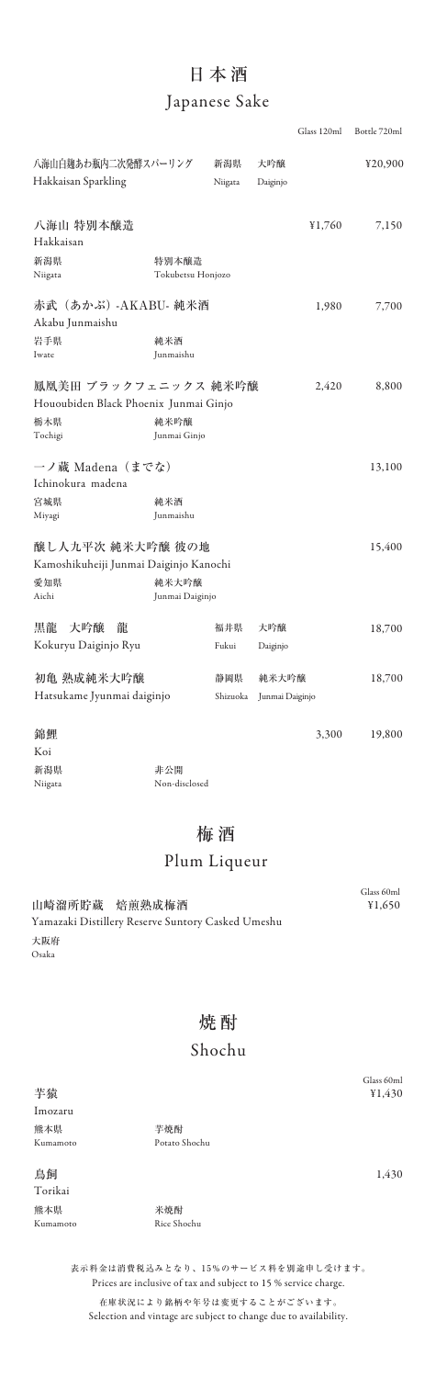表示料金は消費税込みとなり、15%のサービス料を別途申し受けます。 Prices are inclusive of tax and subject to 15 % service charge. 在庫状況により銘柄や年号は変更することがございます。 Selection and vintage are subject to change due to availability.

|                                        |                   |          |                 | Glass 120ml | Bottle 720ml |
|----------------------------------------|-------------------|----------|-----------------|-------------|--------------|
| 八海山白麹あわ瓶内二次発酵スパーリング                    |                   | 新潟県      | 大吟醸             |             | ¥20,900      |
| Hakkaisan Sparkling                    |                   | Niigata  | Daiginjo        |             |              |
|                                        |                   |          |                 |             |              |
| 八海山 特別本醸造                              |                   |          |                 | ¥1,760      | 7,150        |
| Hakkaisan                              |                   |          |                 |             |              |
| 新潟県                                    | 特別本醸造             |          |                 |             |              |
| Niigata                                | Tokubetsu Honjozo |          |                 |             |              |
| 赤武(あかぶ)-AKABU- 純米酒                     |                   |          |                 | 1,980       | 7,700        |
| Akabu Junmaishu                        |                   |          |                 |             |              |
| 岩手県                                    | 純米酒               |          |                 |             |              |
| Iwate                                  | Junmaishu         |          |                 |             |              |
| 鳳凰美田 ブラックフェニックス 純米吟醸                   |                   |          |                 | 2,420       | 8,800        |
| Hououbiden Black Phoenix Junmai Ginjo  |                   |          |                 |             |              |
| 栃木県                                    | 純米吟醸              |          |                 |             |              |
| Tochigi                                | Junmai Ginjo      |          |                 |             |              |
| 一ノ蔵 Madena (までな)                       |                   |          |                 |             | 13,100       |
| Ichinokura madena                      |                   |          |                 |             |              |
| 宮城県                                    | 純米酒               |          |                 |             |              |
| Miyagi                                 | Junmaishu         |          |                 |             |              |
| 醸し人九平次 純米大吟醸 彼の地                       |                   |          |                 |             | 15,400       |
| Kamoshikuheiji Junmai Daiginjo Kanochi |                   |          |                 |             |              |
| 愛知県                                    | 純米大吟醸             |          |                 |             |              |
| Aichi                                  | Junmai Daiginjo   |          |                 |             |              |
| 黒龍<br>大吟醸<br>龍                         |                   | 福井県      | 大吟醸             |             | 18,700       |
| Kokuryu Daiginjo Ryu                   |                   | Fukui    | Daiginjo        |             |              |
| 初亀 熟成純米大吟醸                             |                   | 静岡県      | 純米大吟醸           |             | 18,700       |
| Hatsukame Jyunmai daiginjo             |                   | Shizuoka | Junmai Daiginjo |             |              |
|                                        |                   |          |                 |             |              |
| 錦鯉                                     |                   |          |                 | 3,300       | 19,800       |
| Koi                                    |                   |          |                 |             |              |

Niigata 新潟県 Non-disclosed 非公開

### 日本酒

### Japanese Sake

## 焼 酎

### Shochu

Glass 60ml

### 梅 酒

### Plum Liqueur

| 芋猿       |               | Glass 60ml<br>¥1,430 |
|----------|---------------|----------------------|
| Imozaru  |               |                      |
| 熊本県      | 芋焼酎           |                      |
| Kumamoto | Potato Shochu |                      |
|          |               |                      |
| 鳥飼       |               | 1,430                |
| Torikai  |               |                      |
| 熊本県      | 米焼酎           |                      |
| Kumamoto | Rice Shochu   |                      |

Osaka 大阪府 Yamazaki Distillery Reserve Suntory Casked Umeshu 山崎溜所貯蔵 焙煎熟成梅酒 ¥1,650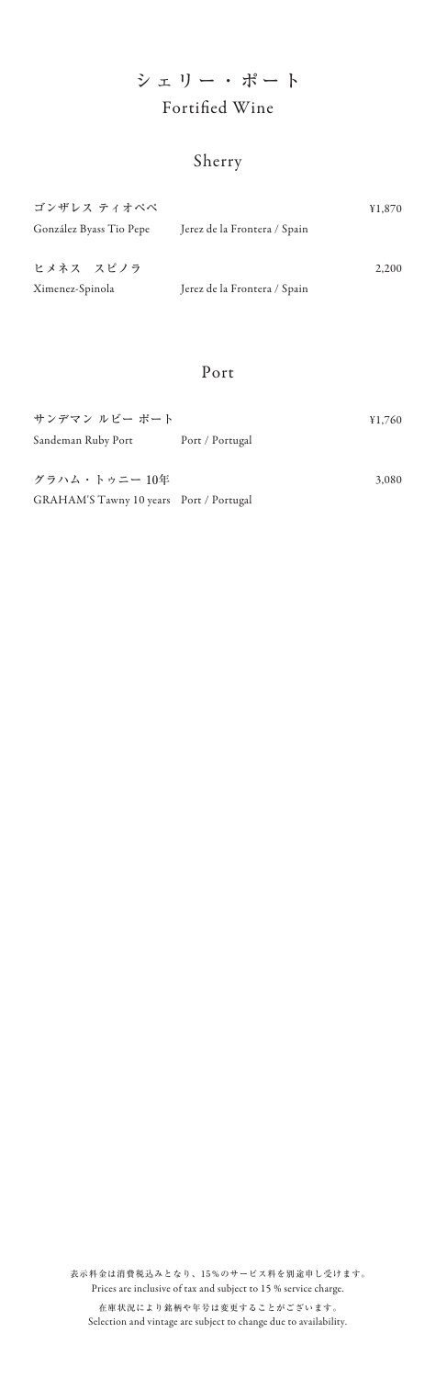在庫状況により銘柄や年号は変更することがございます。 Selection and vintage are subject to change due to availability.

## シェリー・ポート Fortified Wine

| ゴンザレス ティオペペ             |                              | ¥1,870 |
|-------------------------|------------------------------|--------|
| González Byass Tio Pepe | Jerez de la Frontera / Spain |        |
| ヒメネス スピノラ               |                              | 2.200  |
| Ximenez-Spinola         | Jerez de la Frontera / Spain |        |

| サンデマン ルビー ポート                           |                 | ¥1,760 |
|-----------------------------------------|-----------------|--------|
| Sandeman Ruby Port                      | Port / Portugal |        |
| グラハム・トゥニー 10年                           |                 | 3,080  |
| GRAHAM'S Tawny 10 years Port / Portugal |                 |        |

### Sherry

#### Port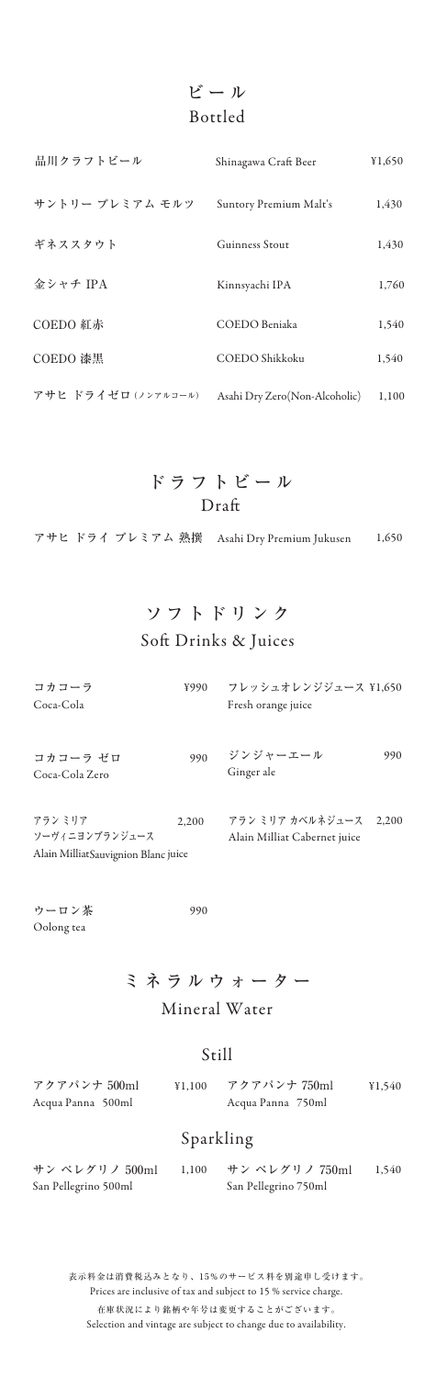在庫状況により銘柄や年号は変更することがございます。 Selection and vintage are subject to change due to availability.

## ソフトドリンク Soft Drinks & Juices

#### Still

### ビール Bottled

ミネラルウォーター Mineral Water

| コカコーラ<br>Coca-Cola                                                | ¥990  | フレッシュオレンジジュース ¥1,650<br>Fresh orange juice               |     |
|-------------------------------------------------------------------|-------|----------------------------------------------------------|-----|
| コカコーラ ゼロ<br>Coca-Cola Zero                                        | 990   | ジンジャーエール<br>Ginger ale                                   | 990 |
| アラン ミリア<br>ソーヴィニヨンブランジュース<br>Alain Milliat Sauvignion Blanc juice | 2.200 | アラン ミリア カベルネジュース - 2.200<br>Alain Milliat Cabernet juice |     |

| 品川クラフトビール           | Shinagawa Craft Beer          | ¥1,650 |
|---------------------|-------------------------------|--------|
| サントリー プレミアム モルツ     | Suntory Premium Malt's        | 1,430  |
| ギネススタウト             | Guinness Stout                | 1,430  |
| 金シャチ IPA            | Kinnsyachi IPA                | 1,760  |
| COEDO 紅赤            | COEDO Beniaka                 | 1,540  |
| COEDO 漆黒            | COEDO Shikkoku                | 1,540  |
| アサヒ ドライゼロ (ノンァルコール) | Asahi Dry Zero(Non-Alcoholic) | 1,100  |

Oolong tea ウーロン茶 990

| アクアパンナ 500ml      | Y1.100 | アクアパンナ 750ml      | ¥1.540 |
|-------------------|--------|-------------------|--------|
| Acqua Panna 500ml |        | Acqua Panna 750ml |        |

#### Sparkling

San Pellegrino 500ml サン ペレグリノ 500ml 1,100

San Pellegrino 750ml サン ペレグリノ 750ml 1,540

アサヒ ドライ プレミアム 熟撰 Asahi Dry Premium Jukusen 1,650

ドラフトビール Dra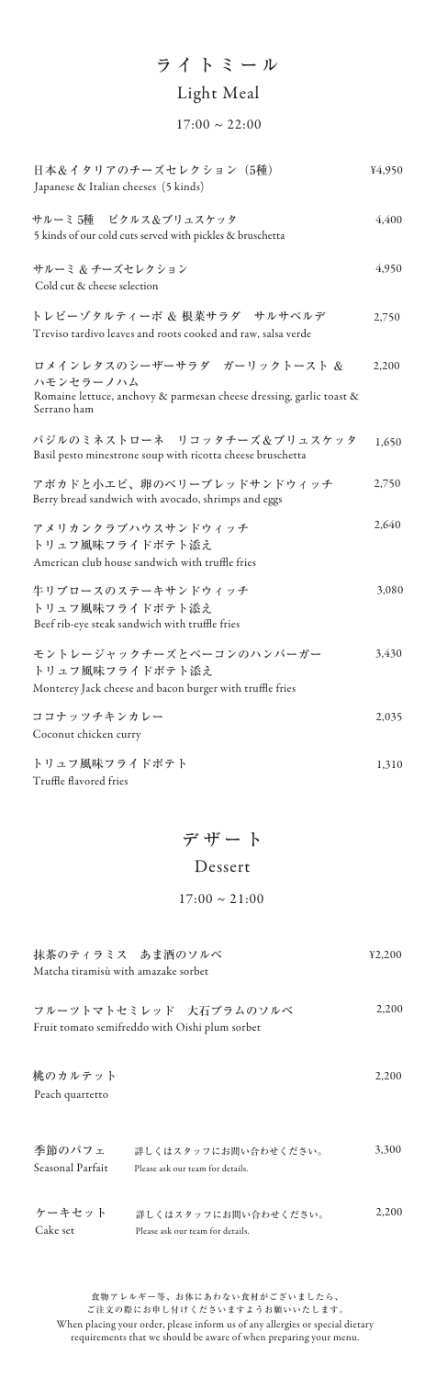食物アレルギー等、お体にあわない食材がございましたら、 ご注文の際にお申し付けくださいますようお願いいたします。 When placing your order, please inform us of any allergies or special dietary requirements that we should be aware of when preparing your menu.

## $17:00 \sim 22:00$ ライトミール Light Meal

| トレビーゾタルティーボ & 根菜サラダ サルサベルデ                                   | 2.750 |
|--------------------------------------------------------------|-------|
| Treviso tardivo leaves and roots cooked and raw, salsa verde |       |

Beef rib-eye steak sandwich with truffle fries 牛リブロースのステーキサンドウィッチ トリュフ風味フライドポテト添え 3,080

Monterey Jack cheese and bacon burger with truffle fries モントレージャックチーズとベーコンのハンバーガー トリュフ風味フライドポテト添え 3,430

Romaine lettuce, anchovy & parmesan cheese dressing, garlic toast & Serrano ham ロメインレタスのシーザーサラダ ガーリックトースト & ハモンセラーノハム 2,200

Berry bread sandwich with avocado, shrimps and eggs アボカドと小エビ、卵のベリーブレッドサンドウィッチ 2,750

Coconut chicken curry ココナッツチキンカレー 2,035

Truffle flavored fries トリュフ風味フライドポテト 1,310

$$
\text{13.300} \times \text{13.300} \times \text{14.30}
$$
\n
$$
\text{15.300} \times \text{16.30}
$$
\n
$$
\text{17.300} \times \text{18.300}
$$
\n
$$
\text{18.300} \times \text{18.300}
$$
\n
$$
\text{19.300} \times \text{19.300}
$$

アメリカンクラブハウスサンドウィッチ トリュフ風味フライドポテト添え 2,640

American club house sandwich with truffle fries

1,650 バジルのミネストローネ リコッタチーズ&ブリュスケッタ Basil pesto minestrone soup with ricotta cheese bruschetta

Cake set ケーキセット Please ask our team for details. 詳しくはスタッフにお問い合わせください。 2,200

| 日本&イタリアのチーズセレクション (5種)               | ¥4,950 |
|--------------------------------------|--------|
| Japanese & Italian cheeses (5 kinds) |        |

サルーミ 5種 ピクルス&ブリュスケッタ 4,400 5 kinds of our cold cuts served with pickles & bruschetta

### デザート Dessert

#### $17:00 \sim 21:00$

Fruit tomato semifreddo with Oishi plum sorbet フルーツトマトセミレッド 大石プラムのソルベ 2,200

抹茶のティラミス あま酒のソルベ Matcha tiramisù with amazake sorbet

¥2,200

Peach quartetto 桃のカルテット

#### サルーミ & チーズセレクション 4,950 Cold cut & cheese selection